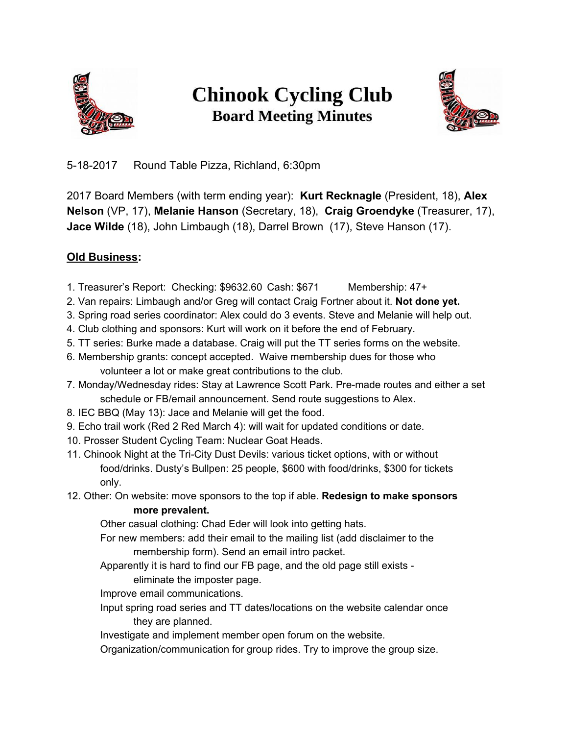

## **Chinook Cycling Club Board Meeting Minutes**



5-18-2017 Round Table Pizza, Richland, 6:30pm

2017 Board Members (with term ending year): **Kurt Recknagle** (President, 18), **Alex Nelson** (VP, 17), **Melanie Hanson** (Secretary, 18), **Craig Groendyke** (Treasurer, 17), **Jace Wilde** (18), John Limbaugh (18), Darrel Brown (17), Steve Hanson (17).

## **Old Business:**

- 1. Treasurer's Report: Checking: \$9632.60 Cash: \$671 Membership: 47+
- 2. Van repairs: Limbaugh and/or Greg will contact Craig Fortner about it. **Not done yet.**
- 3. Spring road series coordinator: Alex could do 3 events. Steve and Melanie will help out.
- 4. Club clothing and sponsors: Kurt will work on it before the end of February.
- 5. TT series: Burke made a database. Craig will put the TT series forms on the website.
- 6. Membership grants: concept accepted. Waive membership dues for those who volunteer a lot or make great contributions to the club.
- 7. Monday/Wednesday rides: Stay at Lawrence Scott Park. Pre-made routes and either a set schedule or FB/email announcement. Send route suggestions to Alex.
- 8. IEC BBQ (May 13): Jace and Melanie will get the food.
- 9. Echo trail work (Red 2 Red March 4): will wait for updated conditions or date.
- 10. Prosser Student Cycling Team: Nuclear Goat Heads.
- 11. Chinook Night at the Tri-City Dust Devils: various ticket options, with or without food/drinks. Dusty's Bullpen: 25 people, \$600 with food/drinks, \$300 for tickets only.
- 12. Other: On website: move sponsors to the top if able. **Redesign to make sponsors more prevalent.**

Other casual clothing: Chad Eder will look into getting hats.

- For new members: add their email to the mailing list (add disclaimer to the membership form). Send an email intro packet.
- Apparently it is hard to find our FB page, and the old page still exists eliminate the imposter page.
- Improve email communications.
- Input spring road series and TT dates/locations on the website calendar once they are planned.

Investigate and implement member open forum on the website.

Organization/communication for group rides. Try to improve the group size.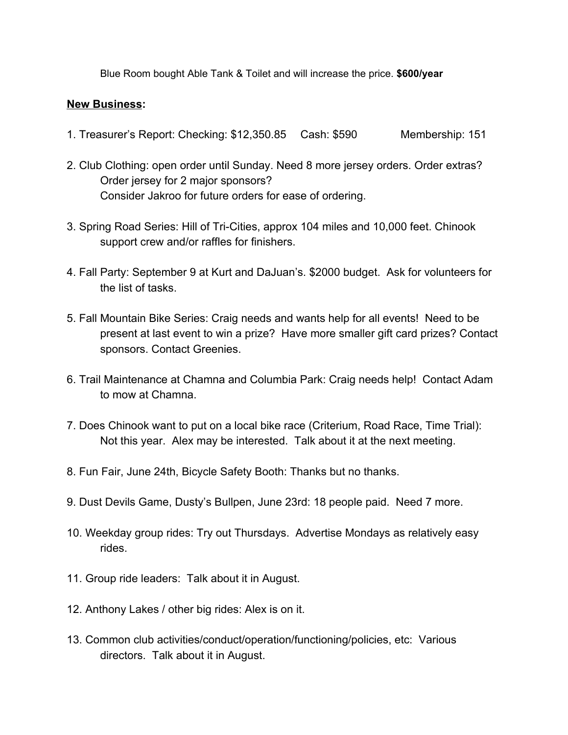Blue Room bought Able Tank & Toilet and will increase the price. **\$600/year**

## **New Business:**

- 1. Treasurer's Report: Checking: \$12,350.85 Cash: \$590 Membership: 151
- 2. Club Clothing: open order until Sunday. Need 8 more jersey orders. Order extras? Order jersey for 2 major sponsors? Consider Jakroo for future orders for ease of ordering.
- 3. Spring Road Series: Hill of Tri-Cities, approx 104 miles and 10,000 feet. Chinook support crew and/or raffles for finishers.
- 4. Fall Party: September 9 at Kurt and DaJuan's. \$2000 budget. Ask for volunteers for the list of tasks.
- 5. Fall Mountain Bike Series: Craig needs and wants help for all events! Need to be present at last event to win a prize? Have more smaller gift card prizes? Contact sponsors. Contact Greenies.
- 6. Trail Maintenance at Chamna and Columbia Park: Craig needs help! Contact Adam to mow at Chamna.
- 7. Does Chinook want to put on a local bike race (Criterium, Road Race, Time Trial): Not this year. Alex may be interested. Talk about it at the next meeting.
- 8. Fun Fair, June 24th, Bicycle Safety Booth: Thanks but no thanks.
- 9. Dust Devils Game, Dusty's Bullpen, June 23rd: 18 people paid. Need 7 more.
- 10. Weekday group rides: Try out Thursdays. Advertise Mondays as relatively easy rides.
- 11. Group ride leaders: Talk about it in August.
- 12. Anthony Lakes / other big rides: Alex is on it.
- 13. Common club activities/conduct/operation/functioning/policies, etc: Various directors. Talk about it in August.